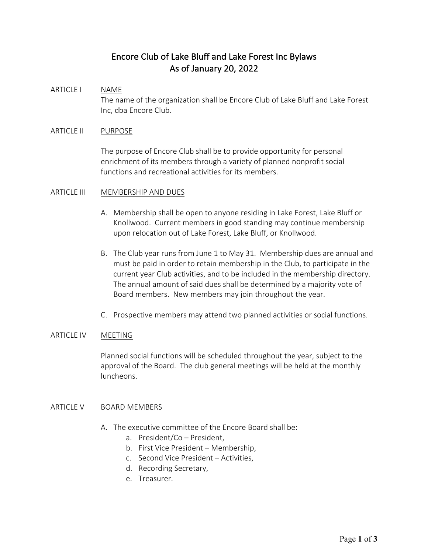# Encore Club of Lake Bluff and Lake Forest Inc Bylaws As of January 20, 2022

# ARTICLE I NAME

The name of the organization shall be Encore Club of Lake Bluff and Lake Forest Inc, dba Encore Club.

## ARTICLE II PURPOSE

The purpose of Encore Club shall be to provide opportunity for personal enrichment of its members through a variety of planned nonprofit social functions and recreational activities for its members.

### ARTICLE III MEMBERSHIP AND DUES

- A. Membership shall be open to anyone residing in Lake Forest, Lake Bluff or Knollwood. Current members in good standing may continue membership upon relocation out of Lake Forest, Lake Bluff, or Knollwood.
- B. The Club year runs from June 1 to May 31. Membership dues are annual and must be paid in order to retain membership in the Club, to participate in the current year Club activities, and to be included in the membership directory. The annual amount of said dues shall be determined by a majority vote of Board members. New members may join throughout the year.
- C. Prospective members may attend two planned activities or social functions.

#### ARTICLE IV MEETING

Planned social functions will be scheduled throughout the year, subject to the approval of the Board. The club general meetings will be held at the monthly luncheons.

#### ARTICLE V BOARD MEMBERS

- A. The executive committee of the Encore Board shall be:
	- a. President/Co President,
	- b. First Vice President Membership,
	- c. Second Vice President Activities,
	- d. Recording Secretary,
	- e. Treasurer.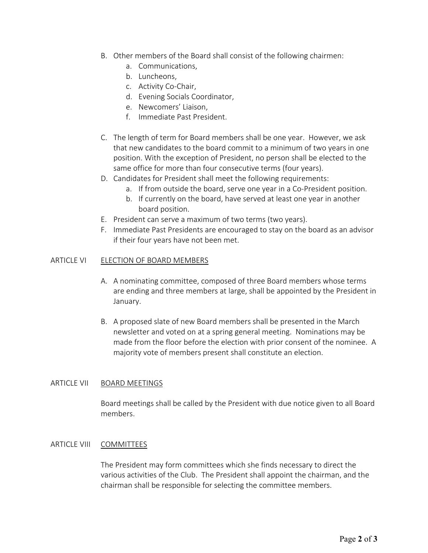- B. Other members of the Board shall consist of the following chairmen:
	- a. Communications,
	- b. Luncheons,
	- c. Activity Co-Chair,
	- d. Evening Socials Coordinator,
	- e. Newcomers' Liaison,
	- f. Immediate Past President.
- C. The length of term for Board members shall be one year. However, we ask that new candidates to the board commit to a minimum of two years in one position. With the exception of President, no person shall be elected to the same office for more than four consecutive terms (four years).
- D. Candidates for President shall meet the following requirements:
	- a. If from outside the board, serve one year in a Co-President position.
	- b. If currently on the board, have served at least one year in another board position.
- E. President can serve a maximum of two terms (two years).
- F. Immediate Past Presidents are encouraged to stay on the board as an advisor if their four years have not been met.

### ARTICLE VI ELECTION OF BOARD MEMBERS

- A. A nominating committee, composed of three Board members whose terms are ending and three members at large, shall be appointed by the President in January.
- B. A proposed slate of new Board members shall be presented in the March newsletter and voted on at a spring general meeting. Nominations may be made from the floor before the election with prior consent of the nominee. A majority vote of members present shall constitute an election.

## ARTICLE VII BOARD MEETINGS

Board meetings shall be called by the President with due notice given to all Board members.

## ARTICLE VIII COMMITTEES

The President may form committees which she finds necessary to direct the various activities of the Club. The President shall appoint the chairman, and the chairman shall be responsible for selecting the committee members.